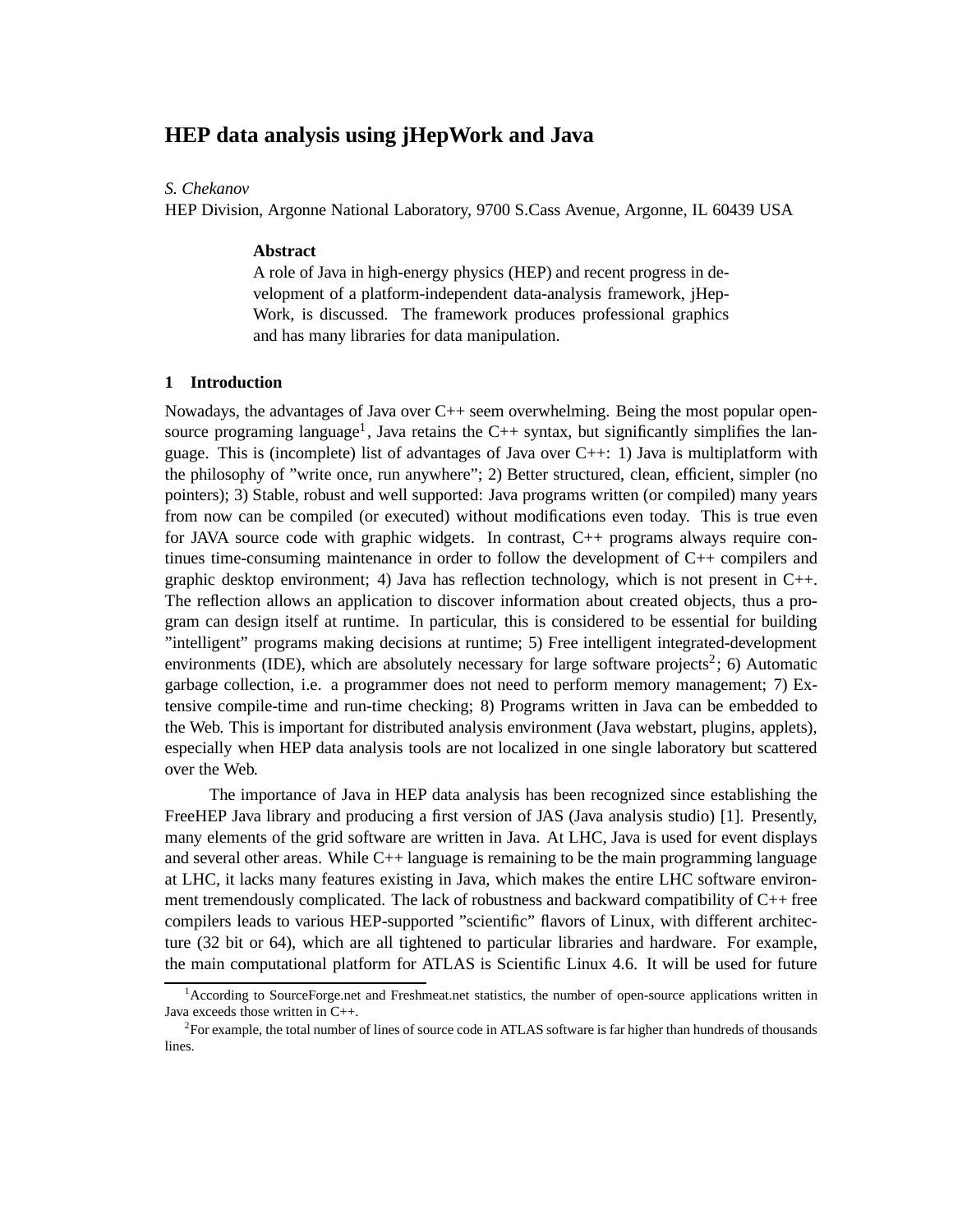# **HEP data analysis using jHepWork and Java**

### *S. Chekanov*

HEP Division, Argonne National Laboratory, 9700 S.Cass Avenue, Argonne, IL 60439 USA

#### **Abstract**

A role of Java in high-energy physics (HEP) and recent progress in development of a platform-independent data-analysis framework, jHep-Work, is discussed. The framework produces professional graphics and has many libraries for data manipulation.

#### **1 Introduction**

Nowadays, the advantages of Java over C++ seem overwhelming. Being the most popular opensource programing language<sup>1</sup>, Java retains the C++ syntax, but significantly simplifies the language. This is (incomplete) list of advantages of Java over  $C++$ : 1) Java is multiplatform with the philosophy of "write once, run anywhere"; 2) Better structured, clean, efficient, simpler (no pointers); 3) Stable, robust and well supported: Java programs written (or compiled) many years from now can be compiled (or executed) without modifications even today. This is true even for JAVA source code with graphic widgets. In contrast, C++ programs always require continues time-consuming maintenance in order to follow the development of C++ compilers and graphic desktop environment; 4) Java has reflection technology, which is not present in  $C_{++}$ . The reflection allows an application to discover information about created objects, thus a program can design itself at runtime. In particular, this is considered to be essential for building "intelligent" programs making decisions at runtime; 5) Free intelligent integrated-development environments (IDE), which are absolutely necessary for large software projects<sup>2</sup>; 6) Automatic garbage collection, i.e. a programmer does not need to perform memory management; 7) Extensive compile-time and run-time checking; 8) Programs written in Java can be embedded to the Web. This is important for distributed analysis environment (Java webstart, plugins, applets), especially when HEP data analysis tools are not localized in one single laboratory but scattered over the Web.

The importance of Java in HEP data analysis has been recognized since establishing the FreeHEP Java library and producing a first version of JAS (Java analysis studio) [1]. Presently, many elements of the grid software are written in Java. At LHC, Java is used for event displays and several other areas. While C++ language is remaining to be the main programming language at LHC, it lacks many features existing in Java, which makes the entire LHC software environment tremendously complicated. The lack of robustness and backward compatibility of  $C_{++}$  free compilers leads to various HEP-supported "scientific" flavors of Linux, with different architecture (32 bit or 64), which are all tightened to particular libraries and hardware. For example, the main computational platform for ATLAS is Scientific Linux 4.6. It will be used for future

<sup>&</sup>lt;sup>1</sup>According to SourceForge.net and Freshmeat.net statistics, the number of open-source applications written in Java exceeds those written in C++.

<sup>&</sup>lt;sup>2</sup>For example, the total number of lines of source code in ATLAS software is far higher than hundreds of thousands lines.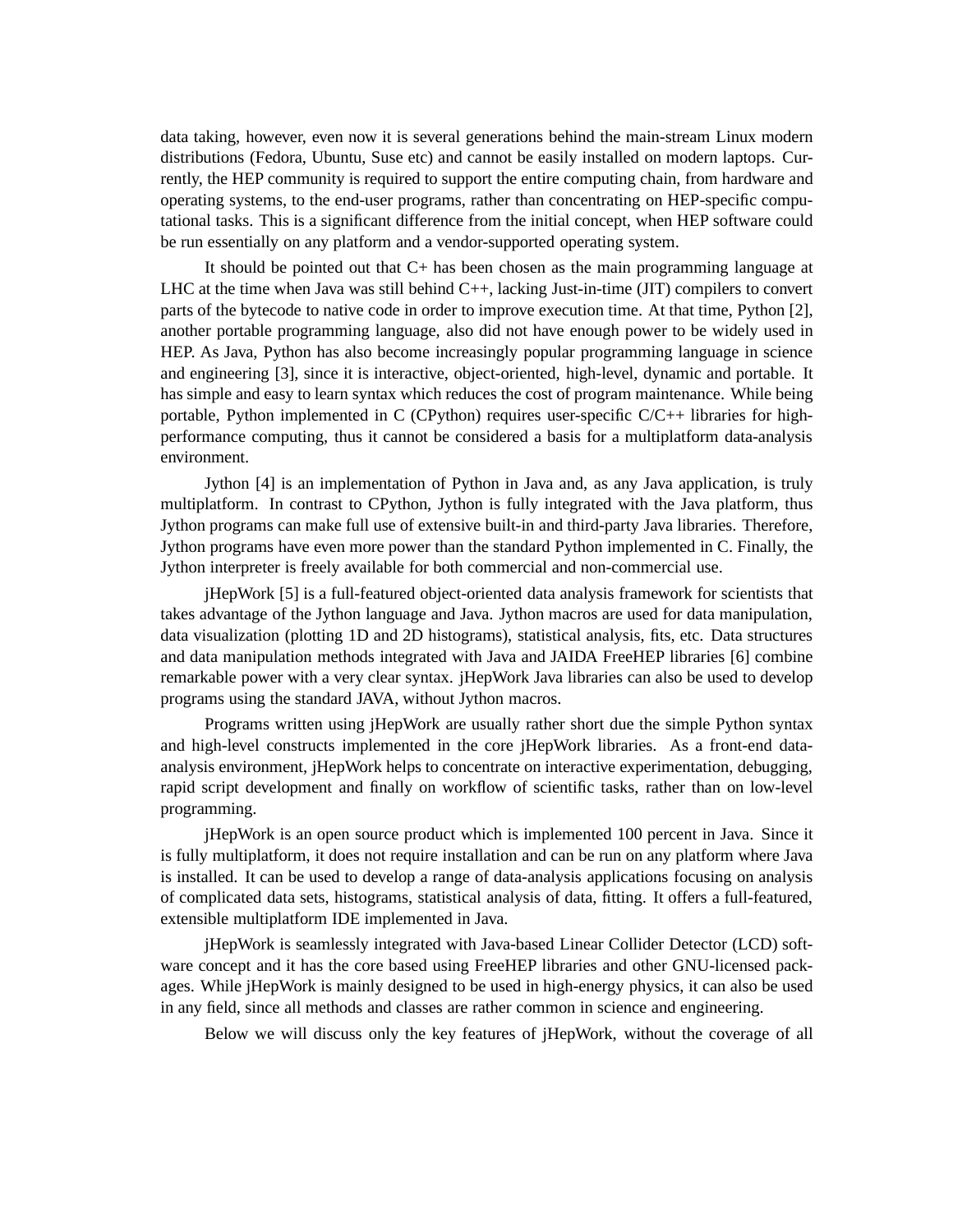data taking, however, even now it is several generations behind the main-stream Linux modern distributions (Fedora, Ubuntu, Suse etc) and cannot be easily installed on modern laptops. Currently, the HEP community is required to support the entire computing chain, from hardware and operating systems, to the end-user programs, rather than concentrating on HEP-specific computational tasks. This is a significant difference from the initial concept, when HEP software could be run essentially on any platform and a vendor-supported operating system.

It should be pointed out that  $C<sub>+</sub>$  has been chosen as the main programming language at LHC at the time when Java was still behind  $C_{++}$ , lacking Just-in-time (JIT) compilers to convert parts of the bytecode to native code in order to improve execution time. At that time, Python [2], another portable programming language, also did not have enough power to be widely used in HEP. As Java, Python has also become increasingly popular programming language in science and engineering [3], since it is interactive, object-oriented, high-level, dynamic and portable. It has simple and easy to learn syntax which reduces the cost of program maintenance. While being portable, Python implemented in C (CPython) requires user-specific  $C/C++$  libraries for highperformance computing, thus it cannot be considered a basis for a multiplatform data-analysis environment.

Jython [4] is an implementation of Python in Java and, as any Java application, is truly multiplatform. In contrast to CPython, Jython is fully integrated with the Java platform, thus Jython programs can make full use of extensive built-in and third-party Java libraries. Therefore, Jython programs have even more power than the standard Python implemented in C. Finally, the Jython interpreter is freely available for both commercial and non-commercial use.

jHepWork [5] is a full-featured object-oriented data analysis framework for scientists that takes advantage of the Jython language and Java. Jython macros are used for data manipulation, data visualization (plotting 1D and 2D histograms), statistical analysis, fits, etc. Data structures and data manipulation methods integrated with Java and JAIDA FreeHEP libraries [6] combine remarkable power with a very clear syntax. jHepWork Java libraries can also be used to develop programs using the standard JAVA, without Jython macros.

Programs written using jHepWork are usually rather short due the simple Python syntax and high-level constructs implemented in the core jHepWork libraries. As a front-end dataanalysis environment, jHepWork helps to concentrate on interactive experimentation, debugging, rapid script development and finally on workflow of scientific tasks, rather than on low-level programming.

jHepWork is an open source product which is implemented 100 percent in Java. Since it is fully multiplatform, it does not require installation and can be run on any platform where Java is installed. It can be used to develop a range of data-analysis applications focusing on analysis of complicated data sets, histograms, statistical analysis of data, fitting. It offers a full-featured, extensible multiplatform IDE implemented in Java.

jHepWork is seamlessly integrated with Java-based Linear Collider Detector (LCD) software concept and it has the core based using FreeHEP libraries and other GNU-licensed packages. While jHepWork is mainly designed to be used in high-energy physics, it can also be used in any field, since all methods and classes are rather common in science and engineering.

Below we will discuss only the key features of jHepWork, without the coverage of all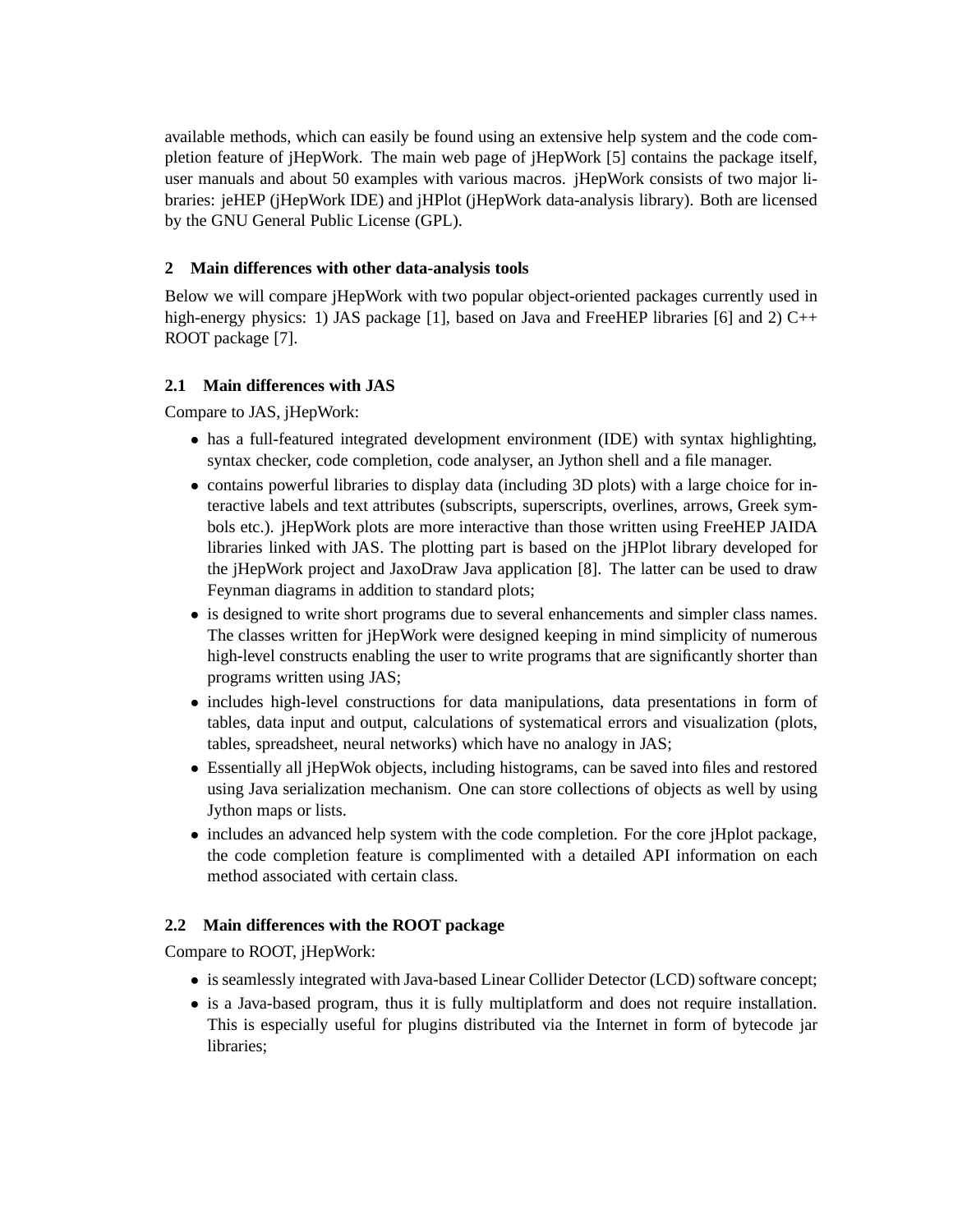available methods, which can easily be found using an extensive help system and the code completion feature of jHepWork. The main web page of jHepWork [5] contains the package itself, user manuals and about 50 examples with various macros. jHepWork consists of two major libraries: jeHEP (jHepWork IDE) and jHPlot (jHepWork data-analysis library). Both are licensed by the GNU General Public License (GPL).

### **2 Main differences with other data-analysis tools**

Below we will compare jHepWork with two popular object-oriented packages currently used in high-energy physics: 1) JAS package [1], based on Java and FreeHEP libraries [6] and 2) C++ ROOT package [7].

# **2.1 Main differences with JAS**

Compare to JAS, jHepWork:

- has a full-featured integrated development environment (IDE) with syntax highlighting, syntax checker, code completion, code analyser, an Jython shell and a file manager.
- contains powerful libraries to display data (including 3D plots) with a large choice for interactive labels and text attributes (subscripts, superscripts, overlines, arrows, Greek symbols etc.). jHepWork plots are more interactive than those written using FreeHEP JAIDA libraries linked with JAS. The plotting part is based on the jHPlot library developed for the jHepWork project and JaxoDraw Java application [8]. The latter can be used to draw Feynman diagrams in addition to standard plots;
- is designed to write short programs due to several enhancements and simpler class names. The classes written for jHepWork were designed keeping in mind simplicity of numerous high-level constructs enabling the user to write programs that are significantly shorter than programs written using JAS;
- includes high-level constructions for data manipulations, data presentations in form of tables, data input and output, calculations of systematical errors and visualization (plots, tables, spreadsheet, neural networks) which have no analogy in JAS;
- Essentially all jHepWok objects, including histograms, can be saved into files and restored using Java serialization mechanism. One can store collections of objects as well by using Jython maps or lists.
- includes an advanced help system with the code completion. For the core jHplot package, the code completion feature is complimented with a detailed API information on each method associated with certain class.

## **2.2 Main differences with the ROOT package**

Compare to ROOT, jHepWork:

- is seamlessly integrated with Java-based Linear Collider Detector (LCD) software concept;
- is a Java-based program, thus it is fully multiplatform and does not require installation. This is especially useful for plugins distributed via the Internet in form of bytecode jar libraries;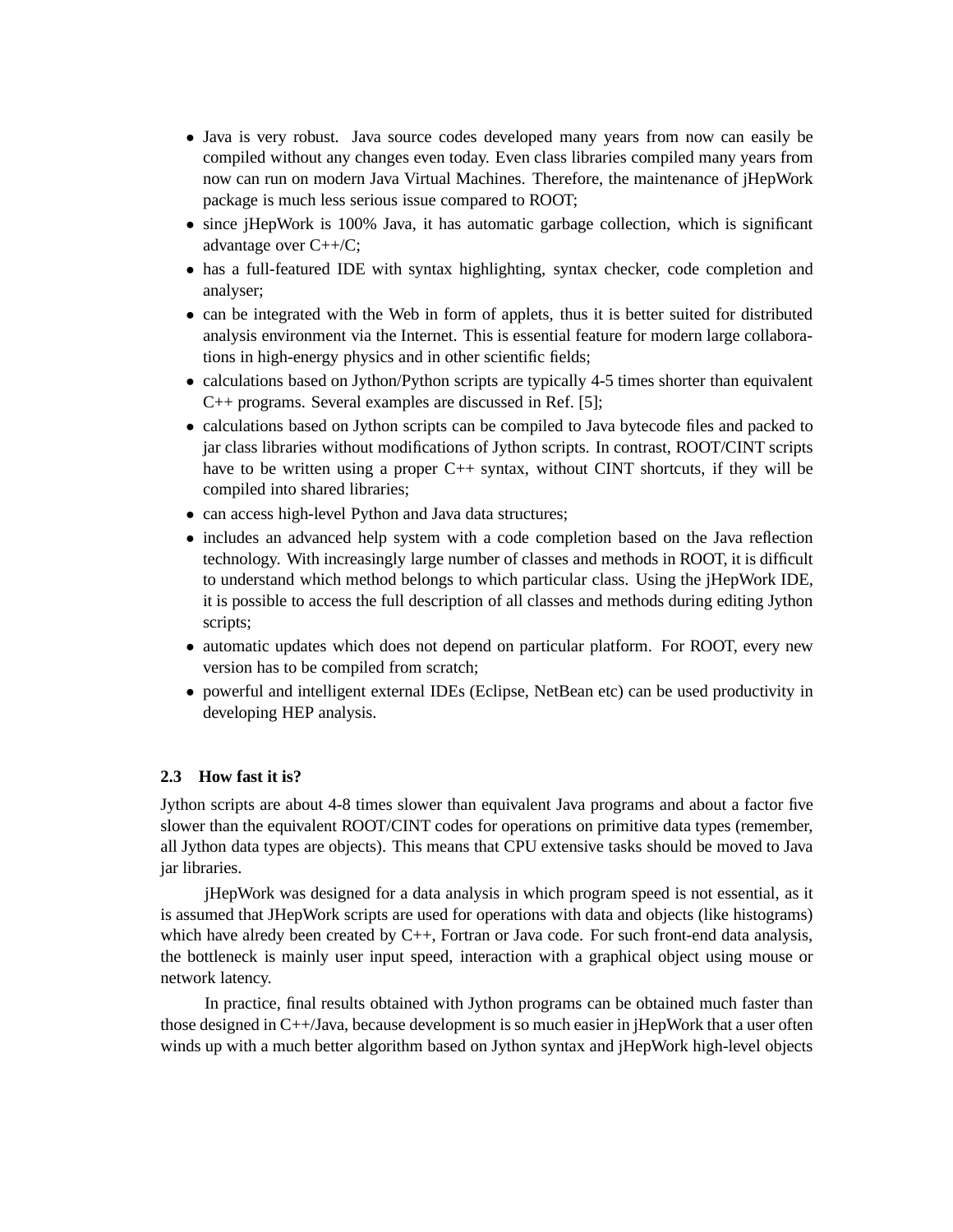- Java is very robust. Java source codes developed many years from now can easily be compiled without any changes even today. Even class libraries compiled many years from now can run on modern Java Virtual Machines. Therefore, the maintenance of jHepWork package is much less serious issue compared to ROOT;
- since jHepWork is 100% Java, it has automatic garbage collection, which is significant advantage over C++/C;
- has a full-featured IDE with syntax highlighting, syntax checker, code completion and analyser;
- can be integrated with the Web in form of applets, thus it is better suited for distributed analysis environment via the Internet. This is essential feature for modern large collaborations in high-energy physics and in other scientific fields;
- calculations based on Jython/Python scripts are typically 4-5 times shorter than equivalent C++ programs. Several examples are discussed in Ref. [5];
- calculations based on Jython scripts can be compiled to Java bytecode files and packed to jar class libraries without modifications of Jython scripts. In contrast, ROOT/CINT scripts have to be written using a proper C++ syntax, without CINT shortcuts, if they will be compiled into shared libraries;
- can access high-level Python and Java data structures;
- includes an advanced help system with a code completion based on the Java reflection technology. With increasingly large number of classes and methods in ROOT, it is difficult to understand which method belongs to which particular class. Using the jHepWork IDE, it is possible to access the full description of all classes and methods during editing Jython scripts;
- automatic updates which does not depend on particular platform. For ROOT, every new version has to be compiled from scratch;
- powerful and intelligent external IDEs (Eclipse, NetBean etc) can be used productivity in developing HEP analysis.

#### **2.3 How fast it is?**

Jython scripts are about 4-8 times slower than equivalent Java programs and about a factor five slower than the equivalent ROOT/CINT codes for operations on primitive data types (remember, all Jython data types are objects). This means that CPU extensive tasks should be moved to Java jar libraries.

jHepWork was designed for a data analysis in which program speed is not essential, as it is assumed that JHepWork scripts are used for operations with data and objects (like histograms) which have alredy been created by C++, Fortran or Java code. For such front-end data analysis, the bottleneck is mainly user input speed, interaction with a graphical object using mouse or network latency.

In practice, final results obtained with Jython programs can be obtained much faster than those designed in C++/Java, because development is so much easier in jHepWork that a user often winds up with a much better algorithm based on Jython syntax and jHepWork high-level objects